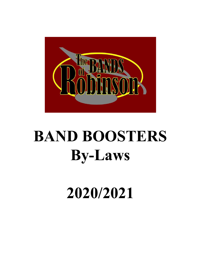

# **BAND BOOSTERS By-Laws**

**2020/2021**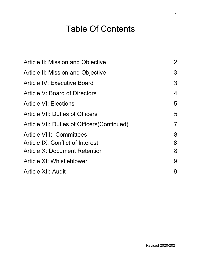# Table Of Contents

| <b>Article II: Mission and Objective</b>    | $\overline{2}$ |
|---------------------------------------------|----------------|
| <b>Article II: Mission and Objective</b>    | 3              |
| <b>Article IV: Executive Board</b>          | 3              |
| Article V: Board of Directors               | 4              |
| <b>Article VI: Elections</b>                | 5              |
| <b>Article VII: Duties of Officers</b>      | 5              |
| Article VII: Duties of Officers (Continued) | $\overline{7}$ |
| <b>Article VIII: Committees</b>             | 8              |
| <b>Article IX: Conflict of Interest</b>     | 8              |
| <b>Article X: Document Retention</b>        | 8              |
| Article XI: Whistleblower                   | 9              |
| <b>Article XII: Audit</b>                   | 9              |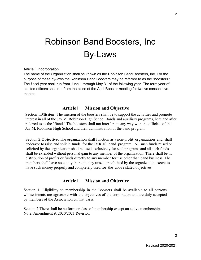# Robinson Band Boosters, Inc By-Laws

Article I: Incorporation

The name of the Organization shall be known as the Robinson Band Boosters, Inc. For the purpose of these by-laws the Robinson Band Boosters may be referred to as the "boosters." The fiscal year shall run from June 1 through May 31 of the following year. The term year of elected officers shall run from the close of the April Booster meeting for twelve consecutive months.

#### **Article** II: **Mission and Objective**

<span id="page-2-0"></span>Section 1:**Mission:** The mission of the boosters shall be to support the activities and promote interest in all of the Jay M. Robinson High School Bands and auxiliary programs, here and after referred to as the "Band." The boosters shall not interfere in any way with the officials of the Jay M. Robinson High School and their administration of the band program.

Section 2:**Objective:** The organization shall function as a non-profit organization and shall endeavor to raise and solicit funds for the JMRHS band program. All such funds raised or solicited by the organization shall be used exclusively for said programs and all such funds shall be extended without personal gain to any member of the organization. There shall be no distribution of profits or funds directly to any member for use other than band business. The members shall have no equity in the money raised or solicited by the organization except to have such money properly and completely used for the above stated objectives.

#### **Article** II: **Mission and Objective**

<span id="page-2-1"></span>Section 1: Eligibility to membership in the Boosters shall be available to all persons whose intents are agreeable with the objectives of the corporation and are duly accepted by members of the Association on that basis.

Section 2:There shall be no form or class of membership except an active membership. Note: Amendment 9: 2020/2021 Revision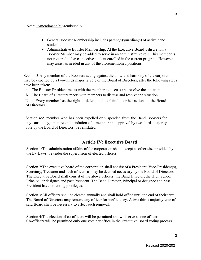- General Booster Membership includes parent(s)/guardian(s) of active band students.
- Administrative Booster Membership: At the Executive Board's discretion a Booster Member may be added to serve in an administrative roll. This member is not required to have an active student enrolled in the current program. However may assist as needed in any of the aforementioned positions.

Section 3:Any member of the Boosters acting against the unity and harmony of the corporation may be expelled by a two-thirds majority vote or the Board of Directors, after the following steps have been taken:

- a. The Booster President meets with the member to discuss and resolve the situation.
- b. The Board of Directors meets with members to discuss and resolve the situation.

Note: Every member has the right to defend and explain his or her actions to the Board of Directors.

Section 4:A member who has been expelled or suspended from the Band Boosters for any cause may, upon recommendation of a member and approval by two-thirds majority vote by the Board of Directors, be reinstated.

#### **Article IV: Executive Board**

<span id="page-3-0"></span>Section 1:The administration affairs of the corporation shall, except as otherwise provided by the By-Laws, be under the supervision of elected officers.

Section 2:The executive board of the corporation shall consist of a President, Vice-President(s), Secretary, Treasurer and such officers as may be deemed necessary by the Board of Directors. The Executive Board shall consist of the above officers, the Band Director, the High School Principal or designee and past President. The Band Director, Principal or designee and past President have no voting privileges.

Section 3:All officers shall be elected annually and shall hold office until the end of their term. The Board of Directors may remove any officer for inefficiency. A two-thirds majority vote of said Board shall be necessary to affect such removal.

Section 4:The election of co-officers will be permitted and will serve as one officer. Co-officers will be permitted only one vote per office in the Executive Board voting process.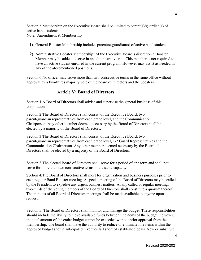Section 5:Membership on the Executive Board shall be limited to parent(s)/guardian(s) of active band students. Note: Amendment 9: Membership

- 1) General Booster Membership includes parent(s)/guardian(s) of active band students.
- 2) Administrative Booster Membership: At the Executive Board's discretion a Booster Member may be added to serve in an administrative roll. This member is not required to have an active student enrolled in the current program. However may assist as needed in any of the aforementioned positions.

Section 6:No officer may serve more than two consecutive terms in the same office without approval by a two-thirds majority vote of the board of Directors and the boosters.

### **Article V: Board of Directors**

<span id="page-4-0"></span>Section 1:A Board of Directors shall advise and supervise the general business of this corporation.

Section 2:The Board of Directors shall consist of the Executive Board, two parent/guardian representatives from each grade level, and the Communication Chairperson. Any other member deemed necessary by the Board of Directors shall be elected by a majority of the Board of Directors.

Section 3:The Board of Directors shall consist of the Executive Board, two parent/guardian representatives from each grade level, 1-2 Guard Representatives and the Communication Chairperson. Any other member deemed necessary by the Board of Directors shall be elected by a majority of the Board of Directors.

Section 3:The elected Board of Directors shall serve for a period of one term and shall not serve for more than two consecutive terms in the same capacity

Section 4:The Board of Directors shall meet for organization and business purposes prior to each regular Band Booster meeting. A special meeting of the Board of Directors may be called by the President to expedite any urgent business matters. At any called or regular meeting, two-thirds of the voting members of the Board of Directors shall constitute a quorum thereof. The minutes of all Board of Directors meetings shall be made available to anyone upon request.

Section 5: The Board of Directors shall monitor and manage the budget. These responsibilities should include the ability to move available funds between line items of the budget; however, the total amount of the entire budget cannot be exceeded without prior approval from the membership. The board shall have the authority to reduce or eliminate line items within the approved budget should anticipated revenues fall short of established goals. New or substitute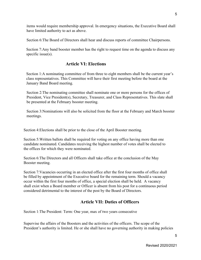items would require membership approval. In emergency situations, the Executive Board shall have limited authority to act as above.

Section 6:The Board of Directors shall hear and discuss reports of committee Chairpersons.

Section 7:Any band booster member has the right to request time on the agenda to discuss any specific issue(s).

# **Article VI: Elections**

<span id="page-5-0"></span>Section 1:A nominating committee of from three to eight members shall be the current year's class representatives. This Committee will have their first meeting before the board at the January Band Board meeting.

Section 2:The nominating committee shall nominate one or more persons for the offices of President, Vice President(s), Secretary, Treasurer, and Class Representatives. This slate shall be presented at the February booster meeting.

Section 3:Nominations will also be solicited from the floor at the February and March booster meetings.

Section 4:Elections shall be prior to the close of the April Booster meeting.

Section 5:Written ballots shall be required for voting on any office having more than one candidate nominated. Candidates receiving the highest number of votes shall be elected to the offices for which they were nominated.

Section 6:The Directors and all Officers shall take office at the conclusion of the May Booster meeting.

Section 7:Vacancies occurring in an elected office after the first four months of office shall be filled by appointment of the Executive board for the remaining term. Should a vacancy occur within the first four months of office, a special election shall be held. A vacancy shall exist when a Board member or Officer is absent from his post for a continuous period considered detrimental to the interest of the post by the Board of Directors.

# **Article VII: Duties of Officers**

<span id="page-5-1"></span>Section 1:The President: Term: One year, max of two years consecutive

Supervise the affairs of the Boosters and the activities of the officers. The scope of the President's authority is limited. He or she shall have no governing authority in making policies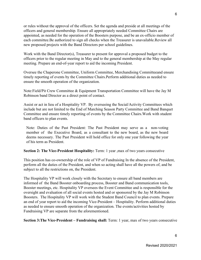or rules without the approval of the officers. Set the agenda and preside at all meetings of the officers and general membership. Ensure all appropriately needed Committee Chairs are appointed, as needed for the operation of the Boosters purpose, and be an ex-officio member of each committee.Be authorized to sign all checks when the Treasurer is unavailable.Review all new proposed projects with the Band Directors per school guidelines.

Work with the Band Director(s), Treasurer to present for approval a proposed budget to the officers prior to the regular meeting in May and to the general membership at the May regular meeting. Prepare an end-of-year report to aid the incoming President.

Oversee the Chaperone Committee, Uniform Committee, Merchandising Committeeand ensure timely reporting of events by the Committee Chairs.Perform additional duties as needed to ensure the smooth operation of the organization.

Note:Field/Pit Crew Committee & Equipment Transportation Committee will have the Jay M Robinson band Director as a direct point of contact.

Assist or act in lieu of a Hospitality VP. By overseeing the Social/Activity Committees which include but are not limited to the End of Marching Season Party Committee and Band Banquet Committee and ensure timely reporting of events by the Committee Chairs.Work with student band officers to plan events.

Note: Duties of the Past President: The Past President may serve as a non-voting member of the Executive Board, as a consultant to the new board, as the new board deems necessary. The Past President will hold office for only one year following the year of his term as President.

**Section 2: The Vice-President Hospitality:** Term: 1 year ,max of two years consecutive

This position has co-ownership of the role of VP of Fundraising In the absence of the President, perform all the duties of the President, and when so acting shall have all the powers of, and be subject to all the restrictions on, the President.

The Hospitality VP will work closely with the Secretary to ensure all band members are informed of the Band Booster onboarding process, Booster and Band communication tools, Booster meetings, etc. Hospitality VP oversees the Event Committee and is responsible for the oversight and evaluation of all social events hosted and or sponsored by the Jay M Robinson Boosters. The Hospitality VP will work with the Student Band Council to plan events. Prepare an end of year report to aid the incoming Vice-President – Hospitality. Perform additional duties as needed to ensure smooth operation of the organization. The events/activities hosted by Fundraising VP are separate from the aforementioned.

**Section 3:The Vice-President – Fundraising shall:** Term: 1 year, max of two years consecutive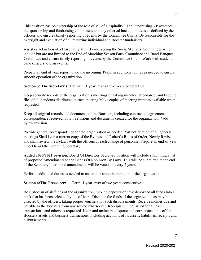This position has co-ownership of the role of VP of Hospitality.. The Fundraising VP oversees the sponsorship and fundraising committees and any other ad hoc committees as defined by the officers and ensures timely reporting of events by the Committee Chairs. Be responsible for the oversight and evaluation of all recurring individual and Booster fundraisers.

Assist or act in lieu of a Hospitality VP. By overseeing the Social/Activity Committees which include but are not limited to the End of Marching Season Party Committee and Band Banquet Committee and ensure timely reporting of events by the Committee Chairs.Work with student band officers to plan events.

Prepare an end of year report to aid the incoming Perform additional duties as needed to ensure smooth operation of the organization.

**Section 3: The Secretary shall:**Term: 1 year, max of two years consecutive

Keep accurate records of the organization's meetings by taking minutes, attendance, and keeping files of all handouts distributed at each meeting.Make copies of meeting minutes available when requested.

Keep all original records and documents of the Boosters, including contractual agreements correspondence received, bylaw revisions and documents created for the organization. \*add bylaw revision.

Provide general correspondence for the organization as needed.Post notification of all general meetings.Shall keep a current copy of the Bylaws and Robert's Rules of Order, Newly Revised and shall review the Bylaws with the officers at each change of personnel.Prepare an end-of-year report to aid the incoming Secretary.

**Added 2020/2021 revision:** Board Of Directors Secretary position will include submitting a list of proposed Amendments to the Bands Of Robinson By Laws. This will be submitted at the end of the Secretary's term and amendments will be voted on every 2 years.

Perform additional duties as needed to ensure the smooth operation of the organization.

**Section 4: The Treasurer:** Term: 1 year, max of two years consecutive

Be custodian of all funds of the organization, making deposits or have deposited all funds into a bank that has been selected by the officers. Disburse the funds of the organization as may be directed by the officers, taking proper vouchers for such disbursements. Receive monies due and payable to the Boosters from any source whatsoever. Receipts will be issued for all cash transactions, and others as requested. Keep and maintain adequate and correct accounts of the Boosters assets and business transactions, including accounts of its assets, liabilities, receipts and disbursements.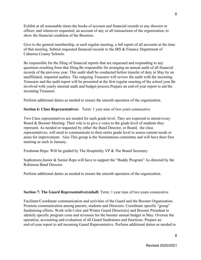Exhibit at all reasonable times the books of account and financial records to any director or officer, and whenever requested, an account of any or all transactions of the organization, to show the financial condition of the Boosters.

Give to the general membership, at each regular meeting, a full report of all accounts at the time of that meeting. Submit requested financial records to the IRS & Finance Department of Cabarrus County Schools.

Be responsible for the filing of financial reports that are requested and responding to any questions resulting from that filing.Be responsible for arranging an annual audit of all financial records of the previous year. This audit shall be conducted before transfer of duty in May by an unaffiliated, impartial auditor. The outgoing Treasurer will review the audit with the incoming Treasurer and the audit report will be presented at the first regular meeting of the school year.Be involved with yearly internal audit and budget process.Prepare an end-of-year report to aid the incoming Treasurer.

Perform additional duties as needed to ensure the smooth operation of the organization.

**Section 6: Class Representatives:** Term: 1 year max of two years consecutive

Two Class representatives are needed for each grade level. They are expected to attend every Board & Booster Meeting. Their role is to give a voice to the grade level of students they represent. As needed or requested by either the Band Director, or Board, the class representatives, will need to communicate to their entire grade level to assess current needs or areas for improvement. Also This group is the Nominations committee and will have their first meeting as such in January.

Freshman Reps: Will be guided by The Hospitality VP & The Board Secretary

Sophomore,Junior & Senior Reps will have to support the "Buddy Program" As directed by the Robinson Band Director.

Perform additional duties as needed to ensure the smooth operation of the organization.

**Section 7: The Guard Representative(s)shall:** Term: 1 year max of two years consecutive

Facilitate/Coordinate communication and activities of the Guard and the Booster Organization. Promote communication among parents, students and Directors. Coordinate specific "group" fundraising efforts. Work with Color and Winter Guard Director(s) and Booster President to identify specific program costs and revenues for the booster annual budget in May. Oversee the operation, accounting and evaluation of all Guard fundraisers and functions. Prepare an end-of-year report to aid incoming Guard Representative. Perform additional duties as needed to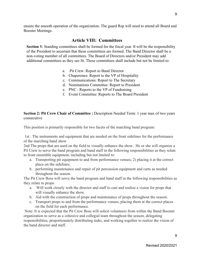ensure the smooth operation of the organization. The guard Rep will need to attend all Board and Booster Meetings.

# **Article VIII: Committees**

**Section 1:** Standing committees shall be formed for the fiscal year. It will be the responsibility of the President to ascertain that these committees are formed. The Band Director shall be a non-voting member of all committees. The Board of Directors and/or President may add additional committees as they see fit. These committees shall include but not be limited to:

- a. Pit Crew: Report to Band Director
- b. Chaperones: Report to the VP of Hospitality
- c. Communications: Report to The Secretary
- d. Nominations Committee: Report to President
- e. PNC : Reports to the VP of Fundraising
- f. Event Committee: Reports to The Board President

#### **Section 2: Pit Crew Chair of Committee :** Description Needed Term: 1 year max of two years consecutive

This position is primarily responsible for two facets of the marching band program:

 1st : The instruments and equipment that are needed on the front sidelines for the performance of the marching band show

2nd The props that are used on the field to visually enhance the show. He or she will organize a Pit Crew to serve the band program and band staff in the following responsibilities as they relate to front ensemble equipment, including but not limited to:

- a. Transporting pit equipment to and from performance venues; 2) placing it at the correct place on the sidelines;
- b. performing maintenance and repair of pit percussion equipment and carts as needed throughout the season.

The Pit Crew Boss will serve the band program and band staff in the following responsibilities as they relate to props:

- a. Will work closely with the director and staff to cast and realize a vision for props that will visually enhance the show.
- b. Aid with the construction of props and maintenance of props throughout the season.
- c. Transport props to and from the performance venues, placing them at the correct places on the field for each performance.

 Note: It is expected that the Pit Crew Boss will solicit volunteers from within the Band Booster organization to serve as a cohesive and collegial team throughout the season, delegating responsibilities, proportionately distributing tasks, and working together to realize the vision of the band director and staff.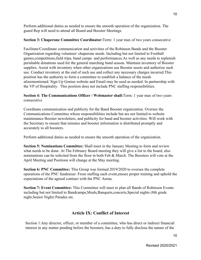Perform additional duties as needed to ensure the smooth operation of the organization. The guard Rep will need to attend all Board and Booster Meetings.

#### **Section 3: Chaperone Committee Coordinator:**Term: 1 year max of two years consecutive

Facilitate/Coordinate communication and activities of the Robinson Bands and the Booster Organization regarding volunteer/ chaperone needs. Including but not limited to Football games,competitions,field trips, band camps and performances.As well as any needs to replenish perishable donations used for the general marching band season. Maintain inventory of Booster supplies. Assist with inventory when other organizations use Booster assets and authorize such use. Conduct inventory at the end of such use and collect any necessary charges incurred.This position has the authority to form a committee to establish a balance of the needs aforementioned. Sign Up Genius website and Email may be used as needed. In partnership with the VP of Hospitality. This position does not include PNC staffing responsibilities.

#### **Section 4: The Communications Officer / Webmaster shall:**Term: 1 year max of two years consecutive

Coordinate communication and publicity for the Band Booster organization. Oversee the Communications Committee whose responsibilities include but are not limited to website maintenance Booster newsletters, and publicity for band and booster activities. Will work with the Secretary to ensure that minutes and booster information is distributed promptly and accurately to all boosters.

Perform additional duties as needed to ensure the smooth operation of the organization.

**Section 5: Nominations Committee:** Shall meet in the January Meeting to form and review what needs to be done. At The February Board meeting they will give a list to the board, also nominations can be solicited from the floor in both Feb & March. The Boosters will vote at the April Meeting and Positions will change at the May meeting.

**Section 6: PNC Committee:** This Group was formed 2019/2020 to oversee the complete operations of the PNC fundraiser. From staffing each event,ensure proper training and uphold the expectations of the agreed contract with the PNC Arena.

**Section 7: Event Committee:** This Committee will meet to plan all Bands of Robinson Events including but not limited to Bandcamps,Meals,Banquets,concerts,Special nights (8th grade night,Senior Night) Parades etc.

# **Article IX: Conflict of Interest**

Section 1: Any director, officer, or member of a committee, who has direct or indirect financial interest in any matter pending before the boosters, has a duty to fully disclose the nature of the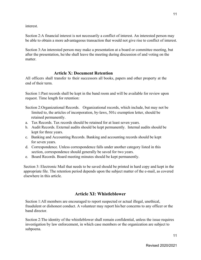interest.

Section 2:A financial interest is not necessarily a conflict of interest. An interested person may be able to obtain a more advantageous transaction that would not give rise to conflict of interest.

Section 3:An interested person may make a presentation at a board or committee meeting, but after the presentation, he/she shall leave the meeting during discussion of and voting on the matter.

# **Article X: Document Retention**

<span id="page-11-0"></span>All officers shall transfer to their successors all books, papers and other property at the end of their term.

Section 1:Past records shall be kept in the band room and will be available for review upon request. Time length for retention:

- Section 2:Organizational Records. Organizational records, which include, but may not be limited to, the articles of incorporation, by-laws, 501c exemption letter, should be retained permanently.
- a. Tax Records. Tax records should be retained for at least seven years.
- b. Audit Records. External audits should be kept permanently. Internal audits should be kept for three years.
- c. Banking and Accounting Records. Banking and accounting records should be kept for seven years.
- d. Correspondence. Unless correspondence falls under another category listed in this section, correspondence should generally be saved for two years.
- e. Board Records. Board meeting minutes should be kept permanently.

Section 3: Electronic Mail that needs to be saved should be printed in hard copy and kept in the appropriate file. The retention period depends upon the subject matter of the e-mail, as covered elsewhere in this article.

# **Article XI: Whistleblower**

Section 1:All members are encouraged to report suspected or actual illegal, unethical, fraudulent or dishonest conduct. A volunteer may report his/her concerns to any officer or the band director.

Section 2:The identity of the whistleblower shall remain confidential, unless the issue requires investigation by law enforcement, in which case members or the organization are subject to subpoena.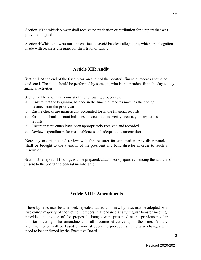Section 3:The whistleblower shall receive no retaliation or retribution for a report that was provided in good faith.

<span id="page-12-0"></span>Section 4:Whistleblowers must be cautious to avoid baseless allegations, which are allegations made with reckless disregard for their truth or falsity.

# **Article XII: Audit**

 Section 1:At the end of the fiscal year, an audit of the booster's financial records should be conducted. The audit should be performed by someone who is independent from the day-to-day financial activities.

Section 2:The audit may consist of the following procedures:

- a. Ensure that the beginning balance in the financial records matches the ending balance from the prior year.
- b. Ensure checks are numerically accounted for in the financial records.
- c. Ensure the bank account balances are accurate and verify accuracy of treasurer's reports.
- d. Ensure that revenues have been appropriately received and recorded.
- e. Review expenditures for reasonableness and adequate documentation.

Note any exceptions and review with the treasurer for explanation. Any discrepancies shall be brought to the attention of the president and band director in order to reach a resolution.

 Section 3:A report of findings is to be prepared, attach work papers evidencing the audit, and present to the board and general membership.

# **Article XIII : Amendments**

These by-laws may be amended, repealed, added to or new by-laws may be adopted by a two-thirds majority of the voting members in attendance at any regular booster meeting, provided that notice of the proposed changes were presented at the previous regular booster meeting. The amendments shall become effective upon the vote. All the aforementioned will be based on normal operating procedures. Otherwise changes will need to be confirmed by the Executive Board.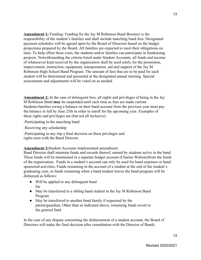**Amendment 1:** Funding: Funding for the Jay M Robinson Band Boosters is the responsibility of the student's families and shall include marching band fees. Designated payment schedules will be agreed upon by the Board of Directors based on the budget projections prepared by the Board. All families are expected to meet their obligations on time. To help offset these costs, the students and/or families can participate in fundraising projects. Notwithstanding the criteria listed under Student Accounts, all funds and income of whatsoever kind received by the organization shall be used solely for the promotion, improvement, instruction, equipment, transportation, aid and support of the Jay M Robinson High School Band Program. The amount of fees that are to be paid for each student will be determined and presented at the designated annual meeting. Special assessments and adjustments will be voted on as needed.

**Amendment 2:** In the case of delinquent fees, all rights and privileges of being in the Jay M Robinson Band **may** be suspended until such time as fees are made current. Students/families owing a balance on their band account from the previous year must pay the balance in full by June 25th in order to enroll for the upcoming year. Examples of these rights and privileges are (but not all inclusive):

-Participating in the marching band

-Receiving any scholarship

-Participating in any trip a final decision on these privileges and rights rests with the Band Director.

**Amendment 3:**Student Accounts Implemented amendment.

Band Director shall maintain funds and records thereof, earned by students active in the band. These funds will be maintained in a separate budget account (Charms Website)from the funds of the organization. Funds in a student's account can only be used for band expenses or band sponsored activities. Funds remaining in the account of a student at the end of the student's graduating year, or funds remaining when a band student leaves the band program will be disbursed as follows:

- Will be applied to any delinquent band fee
- May be transferred to a sibling band student in the Jay M Robinson Band Program
- May be transferred to another band family if requested by the parent/guardian, Other than as indicated above, remaining funds revert to the general fund

In the case of any dispute concerning the disbursement of a student account, the Board of Directors will make the final decision after consultation with the Director of Bands.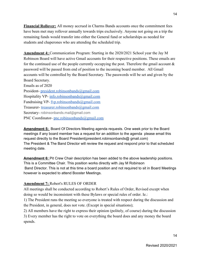**Financial Rollover:** All money accrued in Charms Bands accounts once the commitment fees have been met may rollover annually towards trips exclusively. Anyone not going on a trip the remaining funds would transfer into either the General fund or scholarships as needed for students and chaperones who are attending the scheduled trip.

**Amendment 4:** Communication Program: Starting in the 2020/2021 School year the Jay M Robinson Board will have active Gmail accounts for their respective positions. These emails are for the continued use of the people currently occupying the post. Therefore the gmail account  $\&$ password will be passed from end of position to the incoming board member. All Gmail accounts will be controlled by the Board Secretary. The passwords will be set and given by the Board Secretary. Emails as of 2020

[President-](mailto:President-president.robinsonbands@gmail.com) [president.robinsonbands@gmail.com](mailto:president.robinsonbands@gmail.com) Hospitality VP- [info.robinsonbands@gmail.com](mailto:info.robinsonbands@gmail.com) Fundraising VP- fyp.robinsonbands@gmail.com Treasurer- [treasurer.robinsonbands@gmail.com](mailto:treasurer.robinsonbands@gmail.com) Secretary- robinsonbands.mail@gmail.com PNC Coordinator- [pnc.robinsonbands@gmail.com](mailto:pnc.robinsonbands@gmail.com)

**Amendment 5:** Board Of Directors Meeting agenda requests. One week prior to the Board meetings if any board member has a request for an addition to the agenda please email this request directly to the Board President(president.robinsonbands@ gmail.com) The President & The Band Director will review the request and respond prior to that scheduled meeting date.

**Amendment 6:** Pit Crew Chair description has been added to the above leadership positions. This is a Committee Chair. This position works directly with Jay M Robinson Band Director. This is not at this time a board position and not required to sit in Board Meetings however is expected to attend Booster Meetings.

#### **Amendment 7:** Robert's RULES OF ORDER

All meetings shall be conducted according to Robert's Rules of Order, Revised except when doing so would be inconsistent with these Bylaws or special rules of order. Ie.:

1) The President runs the meeting so everyone is treated with respect during the discussion and the President, in general, does not vote. (Except in special situations);

2) All members have the right to express their opinion (politely, of course) during the discussion 3) Every member has the right to vote on everything the board does and any money the board spends.